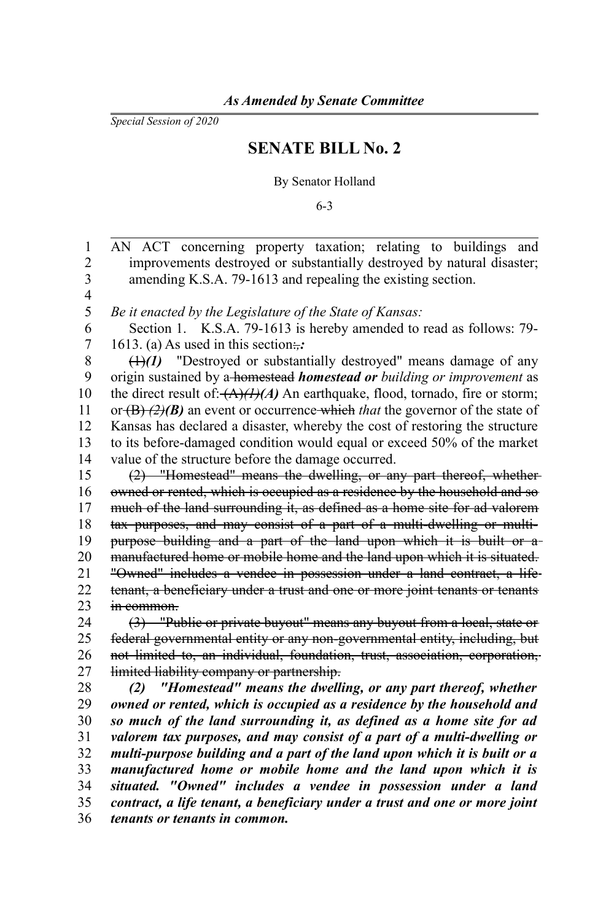*Special Session of 2020*

## **SENATE BILL No. 2**

By Senator Holland

6-3

AN ACT concerning property taxation; relating to buildings and improvements destroyed or substantially destroyed by natural disaster; amending K.S.A. 79-1613 and repealing the existing section. *Be it enacted by the Legislature of the State of Kansas:* Section 1. K.S.A. 79-1613 is hereby amended to read as follows: 79- 1613. (a) As used in this section: (1)*(1)* "Destroyed or substantially destroyed" means damage of any origin sustained by a homestead *homestead or building or improvement* as the direct result of: $\frac{A}{A}(A)(A)$  An earthquake, flood, tornado, fire or storm; or (B) *(2)(B)* an event or occurrence which *that* the governor of the state of Kansas has declared a disaster, whereby the cost of restoring the structure to its before-damaged condition would equal or exceed 50% of the market value of the structure before the damage occurred. (2) "Homestead" means the dwelling, or any part thereof, whether owned or rented, which is occupied as a residence by the household and so much of the land surrounding it, as defined as a home site for ad valorem tax purposes, and may consist of a part of a multi-dwelling or multipurpose building and a part of the land upon which it is built or a manufactured home or mobile home and the land upon which it is situated. "Owned" includes a vendee in possession under a land contract, a life tenant, a beneficiary under a trust and one or more joint tenants or tenants in common. (3) "Public or private buyout" means any buyout from a local, state or federal governmental entity or any non-governmental entity, including, but not limited to, an individual, foundation, trust, association, corporation, limited liability company or partnership. *(2) "Homestead" means the dwelling, or any part thereof, whether owned or rented, which is occupied as a residence by the household and so much of the land surrounding it, as defined as a home site for ad valorem tax purposes, and may consist of a part of a multi-dwelling or multi-purpose building and a part of the land upon which it is built or a manufactured home or mobile home and the land upon which it is situated. "Owned" includes a vendee in possession under a land contract, a life tenant, a beneficiary under a trust and one or more joint tenants or tenants in common.* 1 2 3 4 5 6 7 8 9 10 11 12 13 14 15 16 17 18 19 20 21 22 23 24 25 26 27 28 29 30 31 32 33 34 35 36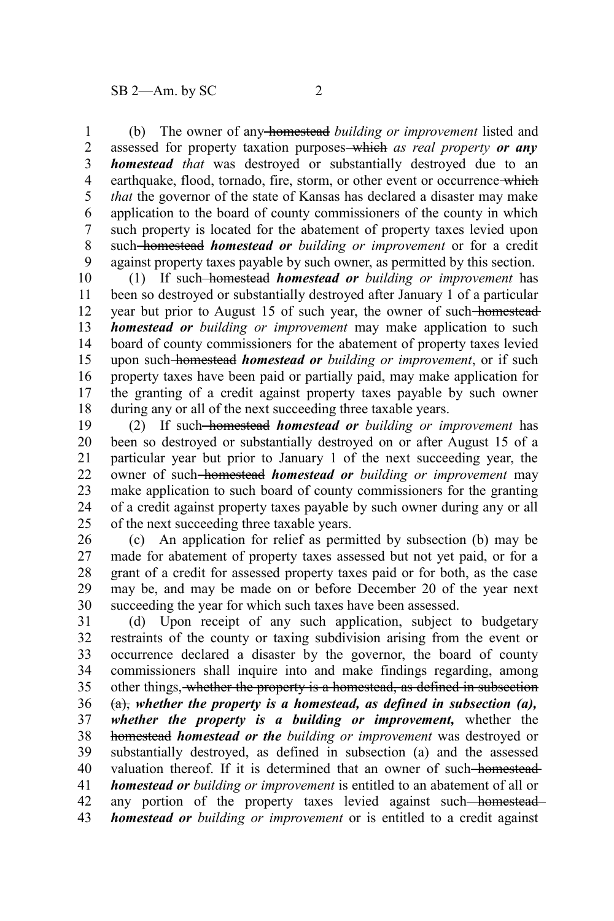(b) The owner of any homestead *building or improvement* listed and assessed for property taxation purposes which *as real property or any homestead that* was destroyed or substantially destroyed due to an earthquake, flood, tornado, fire, storm, or other event or occurrence-which *that* the governor of the state of Kansas has declared a disaster may make application to the board of county commissioners of the county in which such property is located for the abatement of property taxes levied upon such homestead *homestead or building or improvement* or for a credit against property taxes payable by such owner, as permitted by this section. 1 2 3 4 5 6 7 8 9

(1) If such homestead *homestead or building or improvement* has been so destroyed or substantially destroyed after January 1 of a particular year but prior to August 15 of such year, the owner of such homestead *homestead or building or improvement* may make application to such board of county commissioners for the abatement of property taxes levied upon such homestead *homestead or building or improvement*, or if such property taxes have been paid or partially paid, may make application for the granting of a credit against property taxes payable by such owner during any or all of the next succeeding three taxable years. 10 11 12 13 14 15 16 17 18

(2) If such homestead *homestead or building or improvement* has been so destroyed or substantially destroyed on or after August 15 of a particular year but prior to January 1 of the next succeeding year, the owner of such homestead *homestead or building or improvement* may make application to such board of county commissioners for the granting of a credit against property taxes payable by such owner during any or all of the next succeeding three taxable years. 19 20 21 22 23 24 25

(c) An application for relief as permitted by subsection (b) may be made for abatement of property taxes assessed but not yet paid, or for a grant of a credit for assessed property taxes paid or for both, as the case may be, and may be made on or before December 20 of the year next succeeding the year for which such taxes have been assessed. 26 27 28 29 30

(d) Upon receipt of any such application, subject to budgetary restraints of the county or taxing subdivision arising from the event or occurrence declared a disaster by the governor, the board of county commissioners shall inquire into and make findings regarding, among other things, whether the property is a homestead, as defined in subsection (a), *whether the property is a homestead, as defined in subsection (a), whether the property is a building or improvement,* whether the homestead *homestead or the building or improvement* was destroyed or substantially destroyed, as defined in subsection (a) and the assessed valuation thereof. If it is determined that an owner of such-homestead*homestead or building or improvement* is entitled to an abatement of all or any portion of the property taxes levied against such-homestead*homestead or building or improvement* or is entitled to a credit against 31 32 33 34 35 36 37 38 39 40 41 42 43